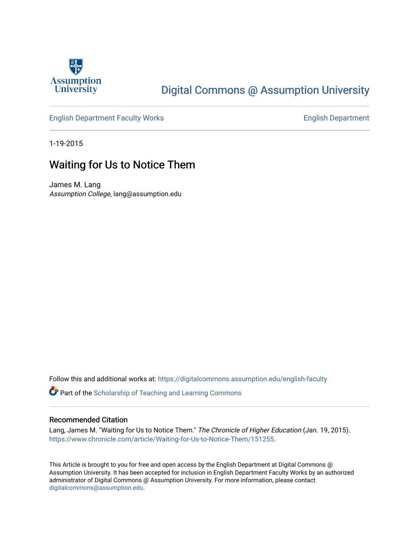

## [Digital Commons @ Assumption University](https://digitalcommons.assumption.edu/)

### [English Department Faculty Works](https://digitalcommons.assumption.edu/english-faculty) **English Department**

1-19-2015

## Waiting for Us to Notice Them

James M. Lang Assumption College, lang@assumption.edu

Follow this and additional works at: [https://digitalcommons.assumption.edu/english-faculty](https://digitalcommons.assumption.edu/english-faculty?utm_source=digitalcommons.assumption.edu%2Fenglish-faculty%2F35&utm_medium=PDF&utm_campaign=PDFCoverPages) 

Part of the [Scholarship of Teaching and Learning Commons](http://network.bepress.com/hgg/discipline/1328?utm_source=digitalcommons.assumption.edu%2Fenglish-faculty%2F35&utm_medium=PDF&utm_campaign=PDFCoverPages) 

#### Recommended Citation

Lang, James M. "Waiting for Us to Notice Them." The Chronicle of Higher Education (Jan. 19, 2015). [https://www.chronicle.com/article/Waiting-for-Us-to-Notice-Them/151255.](https://www.chronicle.com/article/Waiting-for-Us-to-Notice-Them/151255)

This Article is brought to you for free and open access by the English Department at Digital Commons @ Assumption University. It has been accepted for inclusion in English Department Faculty Works by an authorized administrator of Digital Commons @ Assumption University. For more information, please contact [digitalcommons@assumption.edu](mailto:digitalcommons@assumption.edu).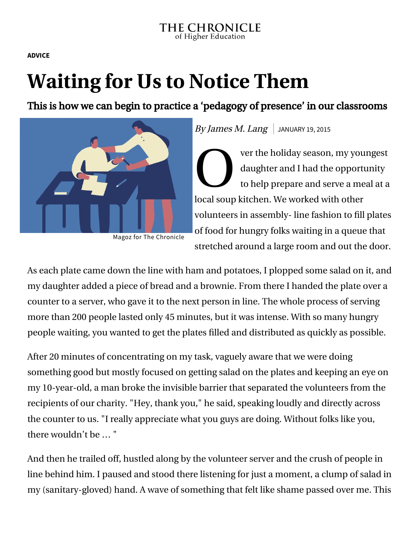**[ADVICE](https://www.chronicle.com/section/Advice/66)**

# **Waiting for Us to Notice Them**

This is how we can begin to practice a 'pedagogy of presence' in our classrooms



By James M. Lang  $\vert$  JANUARY 19, 2015

Ve da do de la concerta de la concerta de la concerta de la concerta de la concerta de la concerta de la concerta de la concerta de la concerta de la concerta de la concerta de la concerta de la concerta de la concerta de ver the holiday season, my youngest daughter and I had the opportunity to help prepare and serve a meal at a local soup kitchen. We worked with other volunteers in assembly- line fashion to fill plates of food for hungry folks waiting in a queue that stretched around a large room and out the door.

Magoz for The Chronicle

As each plate came down the line with ham and potatoes, I plopped some salad on it, and my daughter added a piece of bread and a brownie. From there I handed the plate over a counter to a server, who gave it to the next person in line. The whole process of serving more than 200 people lasted only 45 minutes, but it was intense. With so many hungry people waiting, you wanted to get the plates filled and distributed as quickly as possible.

After 20 minutes of concentrating on my task, vaguely aware that we were doing something good but mostly focused on getting salad on the plates and keeping an eye on my 10-year-old, a man broke the invisible barrier that separated the volunteers from the recipients of our charity. "Hey, thank you," he said, speaking loudly and directly across the counter to us. "I really appreciate what you guys are doing. Without folks like you, there wouldn't be … "

And then he trailed off, hustled along by the volunteer server and the crush of people in line behind him. I paused and stood there listening for just a moment, a clump of salad in my (sanitary-gloved) hand. A wave of something that felt like shame passed over me. This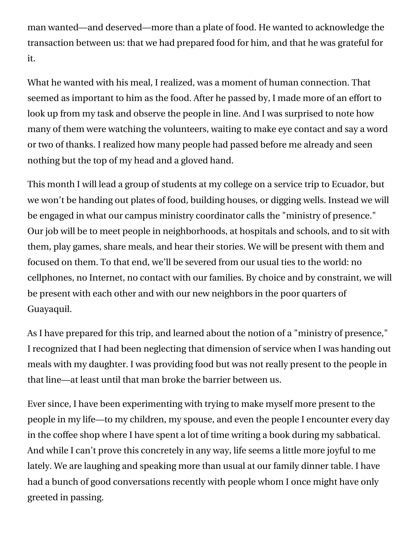man wanted—and deserved—more than a plate of food. He wanted to acknowledge the transaction between us: that we had prepared food for him, and that he was grateful for it.

What he wanted with his meal, I realized, was a moment of human connection. That seemed as important to him as the food. After he passed by, I made more of an effort to look up from my task and observe the people in line. And I was surprised to note how many of them were watching the volunteers, waiting to make eye contact and say a word or two of thanks. I realized how many people had passed before me already and seen nothing but the top of my head and a gloved hand.

This month I will lead a group of students at my college on a service trip to Ecuador, but we won't be handing out plates of food, building houses, or digging wells. Instead we will be engaged in what our campus ministry coordinator calls the "ministry of presence." Our job will be to meet people in neighborhoods, at hospitals and schools, and to sit with them, play games, share meals, and hear their stories. We will be present with them and focused on them. To that end, we'll be severed from our usual ties to the world: no cellphones, no Internet, no contact with our families. By choice and by constraint, we will be present with each other and with our new neighbors in the poor quarters of Guayaquil.

As I have prepared for this trip, and learned about the notion of a "ministry of presence," I recognized that I had been neglecting that dimension of service when I was handing out meals with my daughter. I was providing food but was not really present to the people in that line—at least until that man broke the barrier between us.

Ever since, I have been experimenting with trying to make myself more present to the people in my life—to my children, my spouse, and even the people I encounter every day in the coffee shop where I have spent a lot of time writing a book during my sabbatical. And while I can't prove this concretely in any way, life seems a little more joyful to me lately. We are laughing and speaking more than usual at our family dinner table. I have had a bunch of good conversations recently with people whom I once might have only greeted in passing.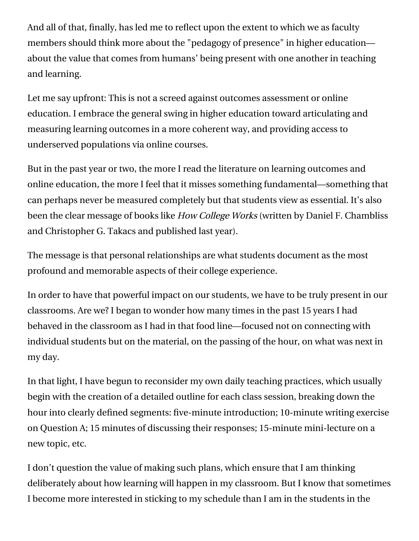And all of that, finally, has led me to reflect upon the extent to which we as faculty members should think more about the "pedagogy of presence" in higher education about the value that comes from humans' being present with one another in teaching and learning.

Let me say upfront: This is not a screed against outcomes assessment or online education. I embrace the general swing in higher education toward articulating and measuring learning outcomes in a more coherent way, and providing access to underserved populations via online courses.

But in the past year or two, the more I read the literature on learning outcomes and online education, the more I feel that it misses something fundamental—something that can perhaps never be measured completely but that students view as essential. It's also been the clear message of books like [How College Works](http://chronicle.com/blogs/bookclub/2014/10/06/video-interview-with-dan-chambliss-an-author-of-how-college-works/) (written by [Daniel F. Chambliss](http://chronicle.com/blogs/bookclub/2014/10/06/video-interview-with-dan-chambliss-an-author-of-how-college-works) and Christopher G. Takacs and published last year).

The message is that personal relationships are what students document as the most profound and memorable aspects of their college experience.

In order to have that powerful impact on our students, we have to be truly present in our classrooms. Are we? I began to wonder how many times in the past 15 years I had behaved in the classroom as I had in that food line—focused not on connecting with individual students but on the material, on the passing of the hour, on what was next in my day.

In that light, I have begun to reconsider my own daily teaching practices, which usually begin with the creation of a detailed outline for each class session, breaking down the hour into clearly defined segments: five-minute introduction; 10-minute writing exercise on Question A; 15 minutes of discussing their responses; 15-minute mini-lecture on a new topic, etc.

I don't question the value of making such plans, which ensure that I am thinking deliberately about how learning will happen in my classroom. But I know that sometimes I become more interested in sticking to my schedule than I am in the students in the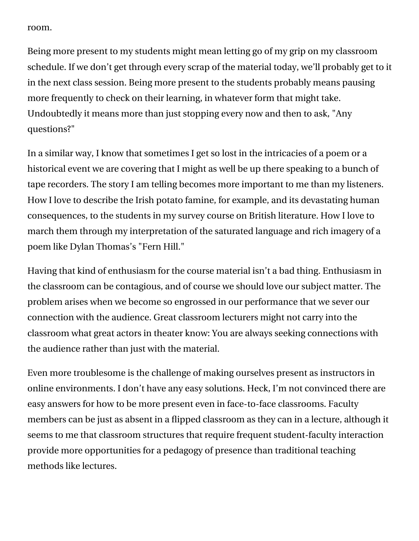room.

Being more present to my students might mean letting go of my grip on my classroom schedule. If we don't get through every scrap of the material today, we'll probably get to it in the next class session. Being more present to the students probably means pausing more frequently to check on their learning, in whatever form that might take. Undoubtedly it means more than just stopping every now and then to ask, "Any questions?"

In a similar way, I know that sometimes I get so lost in the intricacies of a poem or a historical event we are covering that I might as well be up there speaking to a bunch of tape recorders. The story I am telling becomes more important to me than my listeners. How I love to describe the Irish potato famine, for example, and its devastating human consequences, to the students in my survey course on British literature. How I love to march them through my interpretation of the saturated language and rich imagery of a poem like Dylan Thomas's "Fern Hill."

Having that kind of enthusiasm for the course material isn't a bad thing. Enthusiasm in the classroom can be contagious, and of course we should love our subject matter. The problem arises when we become so engrossed in our performance that we sever our connection with the audience. Great classroom lecturers might not carry into the classroom what great actors in theater know: You are always seeking connections with the audience rather than just with the material.

Even more troublesome is the challenge of making ourselves present as instructors in online environments. I don't have any easy solutions. Heck, I'm not convinced there are easy answers for how to be more present even in face-to-face classrooms. Faculty members can be just as absent in a flipped classroom as they can in a lecture, although it seems to me that classroom structures that require frequent student-faculty interaction provide more opportunities for a pedagogy of presence than traditional teaching methods like lectures.